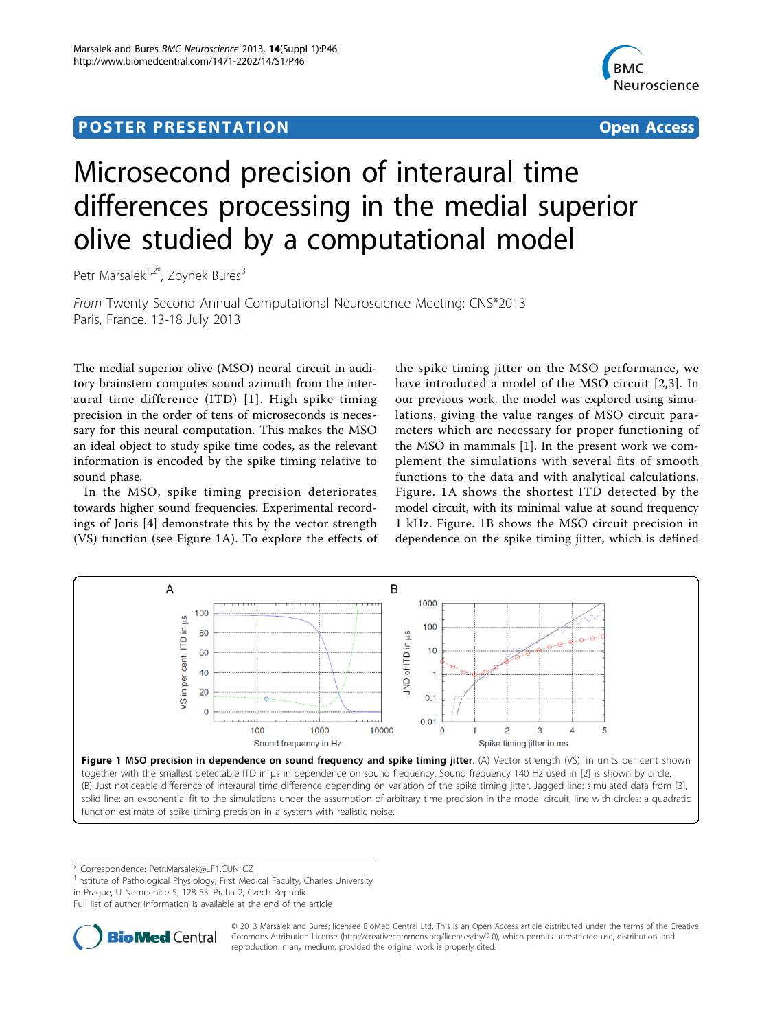## <span id="page-0-0"></span>Post Experimental Police in the St English Police in the St English Police in the St English Police in the St<br>Police in the St English Police in the St English Police in the St English Police in the St English Police in



# Microsecond precision of interaural time differences processing in the medial superior olive studied by a computational model

Petr Marsalek<sup>1,2\*</sup>, Zbynek Bures<sup>3</sup>

From Twenty Second Annual Computational Neuroscience Meeting: CNS\*2013 Paris, France. 13-18 July 2013

The medial superior olive (MSO) neural circuit in auditory brainstem computes sound azimuth from the interaural time difference (ITD) [[1\]](#page-1-0). High spike timing precision in the order of tens of microseconds is necessary for this neural computation. This makes the MSO an ideal object to study spike time codes, as the relevant information is encoded by the spike timing relative to sound phase.

In the MSO, spike timing precision deteriorates towards higher sound frequencies. Experimental recordings of Joris [\[4](#page-1-0)] demonstrate this by the vector strength (VS) function (see Figure 1A). To explore the effects of

the spike timing jitter on the MSO performance, we have introduced a model of the MSO circuit [\[2,3](#page-1-0)]. In our previous work, the model was explored using simulations, giving the value ranges of MSO circuit parameters which are necessary for proper functioning of the MSO in mammals [[1](#page-1-0)]. In the present work we complement the simulations with several fits of smooth functions to the data and with analytical calculations. Figure. 1A shows the shortest ITD detected by the model circuit, with its minimal value at sound frequency 1 kHz. Figure. 1B shows the MSO circuit precision in dependence on the spike timing jitter, which is defined



together with the smallest detectable ITD in µs in dependence on sound frequency. Sound frequency 140 Hz used in [[2](#page-1-0)] is shown by circle. (B) Just noticeable difference of interaural time difference depending on variation of the spike timing jitter. Jagged line: simulated data from [\[3](#page-1-0)], solid line: an exponential fit to the simulations under the assumption of arbitrary time precision in the model circuit, line with circles: a quadratic function estimate of spike timing precision in a system with realistic noise.

\* Correspondence: [Petr.Marsalek@LF1.CUNI.CZ](mailto:Petr.Marsalek@LF1.CUNI.CZ)

<sup>1</sup>Institute of Pathological Physiology, First Medical Faculty, Charles University

in Prague, U Nemocnice 5, 128 53, Praha 2, Czech Republic

Full list of author information is available at the end of the article



© 2013 Marsalek and Bures; licensee BioMed Central Ltd. This is an Open Access article distributed under the terms of the Creative Commons Attribution License [\(http://creativecommons.org/licenses/by/2.0](http://creativecommons.org/licenses/by/2.0)), which permits unrestricted use, distribution, and reproduction in any medium, provided the original work is properly cited.